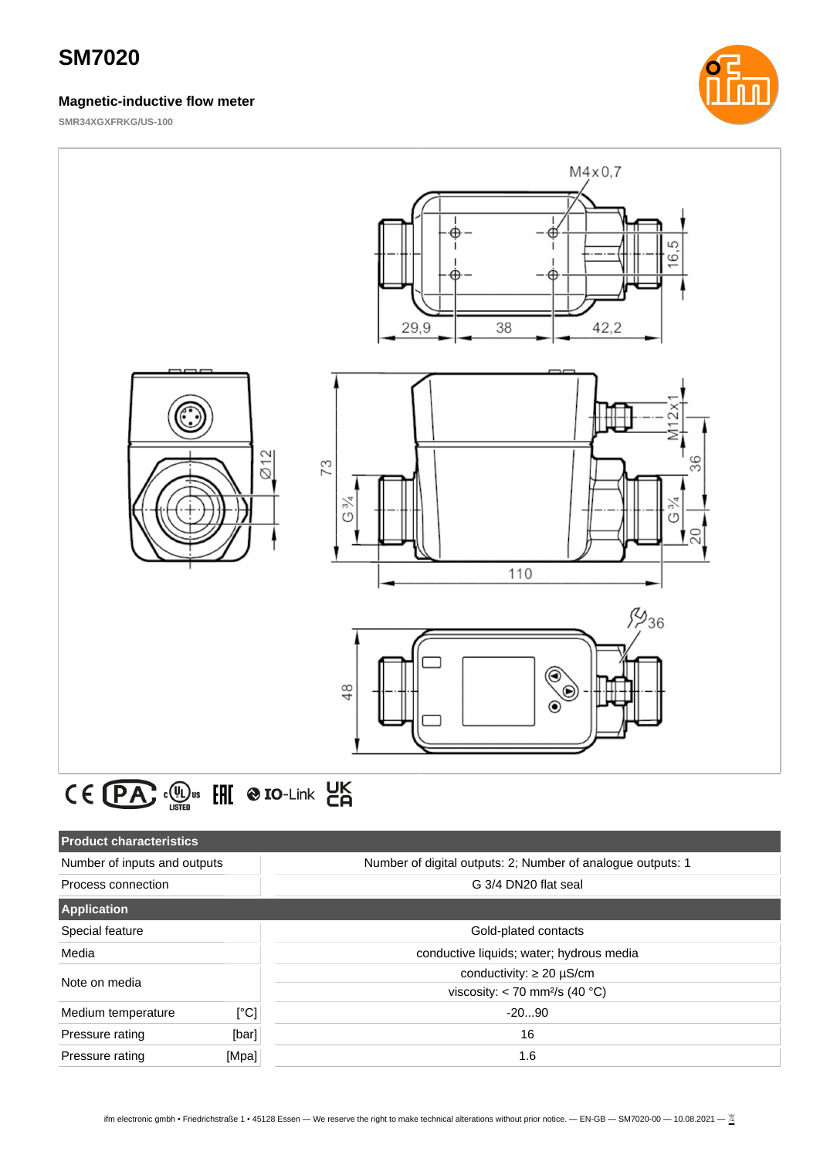### **Magnetic-inductive flow meter**

**SMR34XGXFRKG/US-100**





# CE PA CO CHE @ IO-Link CA

| Number of inputs and outputs |       | Number of digital outputs: 2; Number of analogue outputs: 1 |  |  |
|------------------------------|-------|-------------------------------------------------------------|--|--|
| Process connection           |       | G 3/4 DN20 flat seal                                        |  |  |
| <b>Application</b>           |       |                                                             |  |  |
| Special feature              |       | Gold-plated contacts                                        |  |  |
| Media                        |       | conductive liquids; water; hydrous media                    |  |  |
| Note on media                |       | conductivity: $\geq 20 \mu$ S/cm                            |  |  |
|                              |       | viscosity: < 70 mm <sup>2</sup> /s (40 °C)                  |  |  |
| Medium temperature           | [°C]  | $-2090$                                                     |  |  |
| Pressure rating              | [bar] | 16                                                          |  |  |
| Pressure rating              | [Mpa] | 1.6                                                         |  |  |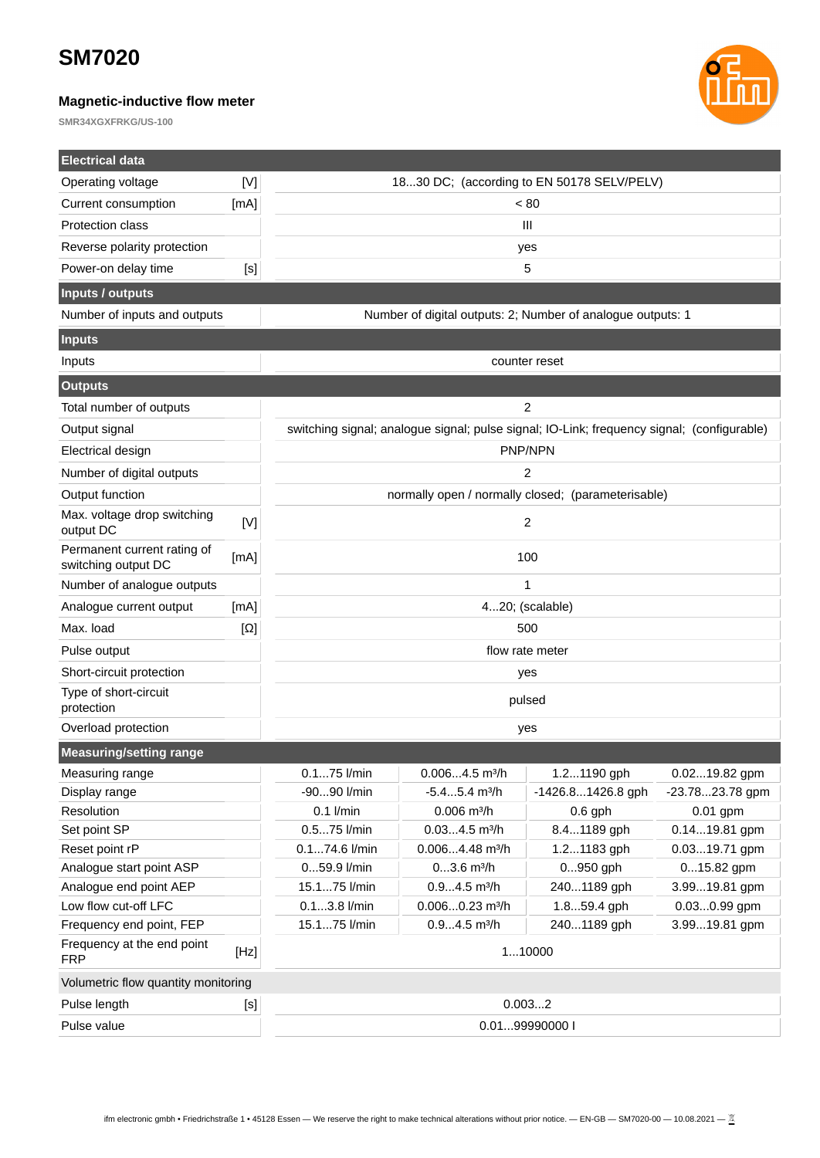### **Magnetic-inductive flow meter**



**SMR34XGXFRKG/US-100**

| <b>Electrical data</b>                                                                      |            |                                                                                            |                                            |                   |                 |  |
|---------------------------------------------------------------------------------------------|------------|--------------------------------------------------------------------------------------------|--------------------------------------------|-------------------|-----------------|--|
| Operating voltage                                                                           | [V]        |                                                                                            | 1830 DC; (according to EN 50178 SELV/PELV) |                   |                 |  |
| Current consumption                                                                         | [mA]       | ${}_{<80}$                                                                                 |                                            |                   |                 |  |
| <b>Protection class</b>                                                                     |            | Ш                                                                                          |                                            |                   |                 |  |
| Reverse polarity protection                                                                 |            | yes                                                                                        |                                            |                   |                 |  |
| Power-on delay time                                                                         | [s]        | 5                                                                                          |                                            |                   |                 |  |
| Inputs / outputs                                                                            |            |                                                                                            |                                            |                   |                 |  |
| Number of inputs and outputs<br>Number of digital outputs: 2; Number of analogue outputs: 1 |            |                                                                                            |                                            |                   |                 |  |
| <b>Inputs</b>                                                                               |            |                                                                                            |                                            |                   |                 |  |
| Inputs                                                                                      |            |                                                                                            |                                            | counter reset     |                 |  |
| <b>Outputs</b>                                                                              |            |                                                                                            |                                            |                   |                 |  |
| Total number of outputs                                                                     |            |                                                                                            |                                            | 2                 |                 |  |
| Output signal                                                                               |            | switching signal; analogue signal; pulse signal; IO-Link; frequency signal; (configurable) |                                            |                   |                 |  |
| Electrical design                                                                           |            | PNP/NPN                                                                                    |                                            |                   |                 |  |
| Number of digital outputs                                                                   |            | 2                                                                                          |                                            |                   |                 |  |
| Output function                                                                             |            | normally open / normally closed; (parameterisable)                                         |                                            |                   |                 |  |
| Max. voltage drop switching<br>output DC                                                    | [V]        |                                                                                            |                                            | $\overline{c}$    |                 |  |
| Permanent current rating of<br>switching output DC                                          | [mA]       | 100                                                                                        |                                            |                   |                 |  |
| Number of analogue outputs                                                                  |            | 1                                                                                          |                                            |                   |                 |  |
| Analogue current output                                                                     | [mA]       | 420; (scalable)                                                                            |                                            |                   |                 |  |
| Max. load                                                                                   | $[\Omega]$ | 500                                                                                        |                                            |                   |                 |  |
| Pulse output                                                                                |            | flow rate meter                                                                            |                                            |                   |                 |  |
| Short-circuit protection                                                                    |            | yes                                                                                        |                                            |                   |                 |  |
| Type of short-circuit<br>protection                                                         |            | pulsed                                                                                     |                                            |                   |                 |  |
| Overload protection                                                                         |            |                                                                                            | yes                                        |                   |                 |  |
| <b>Measuring/setting range</b>                                                              |            |                                                                                            |                                            |                   |                 |  |
| Measuring range                                                                             |            | 0.175 l/min                                                                                | 0.0064.5 m <sup>3</sup> /h                 | 1.21190 gph       | 0.0219.82 gpm   |  |
| Display range                                                                               |            | -9090 l/min                                                                                | $-5.45.4$ m <sup>3</sup> /h                | -1426.81426.8 gph | -23.7823.78 gpm |  |
| Resolution                                                                                  |            | $0.1$ I/min                                                                                | $0.006$ m <sup>3</sup> /h                  | $0.6$ gph         | $0.01$ gpm      |  |
| Set point SP                                                                                |            | 0.575 l/min                                                                                | $0.034.5$ m <sup>3</sup> /h                | 8.41189 gph       | 0.1419.81 gpm   |  |
| Reset point rP                                                                              |            | 0.174.6 l/min                                                                              | $0.0064.48$ m <sup>3</sup> /h              | 1.21183 gph       | 0.0319.71 gpm   |  |
| Analogue start point ASP                                                                    |            | 059.9 l/min                                                                                | $03.6$ m $3/h$                             | 0950 gph          | $015.82$ gpm    |  |
| Analogue end point AEP                                                                      |            | 15.175 l/min                                                                               | $0.94.5$ m $3/h$                           | 2401189 gph       | 3.9919.81 gpm   |  |
| Low flow cut-off LFC                                                                        |            | $0.13.8$ l/min                                                                             | $0.0060.23$ m <sup>3</sup> /h              | 1.859.4 gph       | 0.030.99 gpm    |  |
| Frequency end point, FEP                                                                    |            | 15.175 l/min                                                                               | $0.94.5$ m <sup>3</sup> /h                 | 2401189 gph       | 3.9919.81 gpm   |  |
| Frequency at the end point<br><b>FRP</b>                                                    | [Hz]       | 110000                                                                                     |                                            |                   |                 |  |
| Volumetric flow quantity monitoring                                                         |            |                                                                                            |                                            |                   |                 |  |
| Pulse length                                                                                | [s]        | 0.0032                                                                                     |                                            |                   |                 |  |
| Pulse value                                                                                 |            | 0.0199990000                                                                               |                                            |                   |                 |  |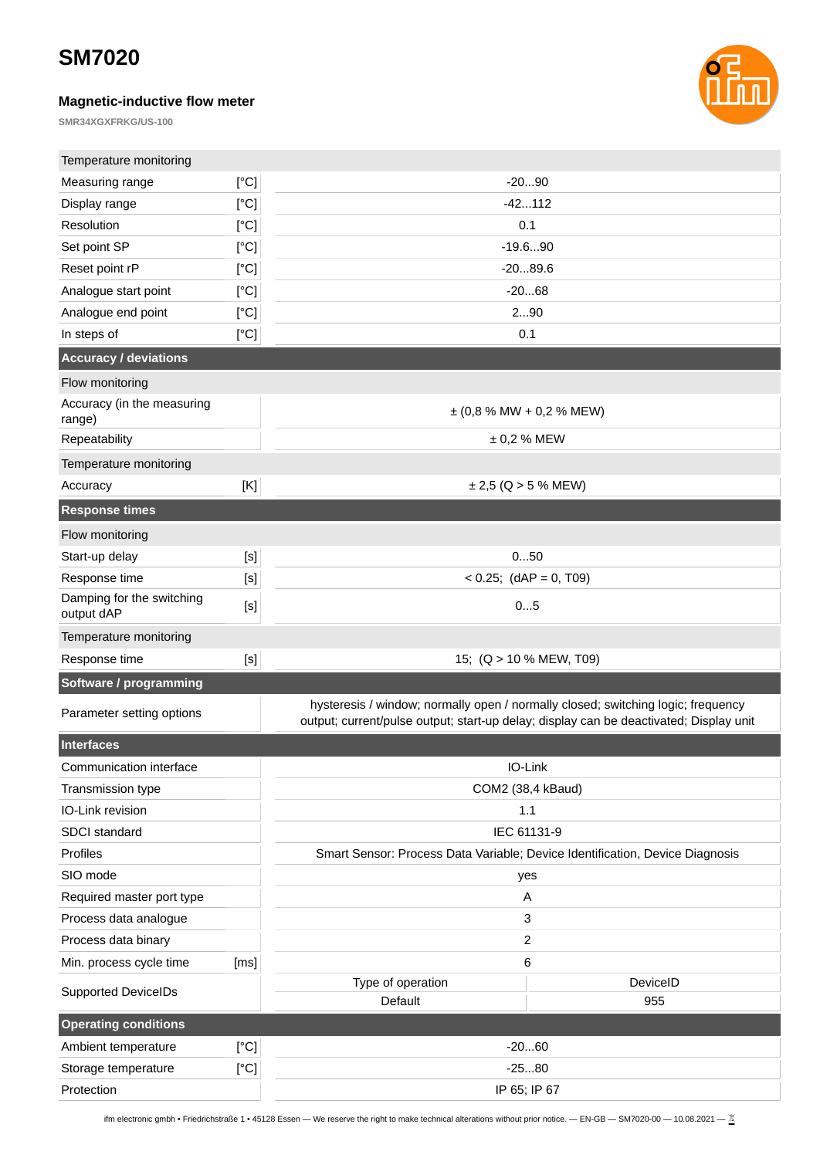### **Magnetic-inductive flow meter**

**SMR34XGXFRKG/US-100**



| Temperature monitoring                  |                           |                                                                                                                                                                            |          |  |
|-----------------------------------------|---------------------------|----------------------------------------------------------------------------------------------------------------------------------------------------------------------------|----------|--|
| Measuring range                         | [°C]                      | $-2090$                                                                                                                                                                    |          |  |
| Display range                           | [°C]                      | $-42112$                                                                                                                                                                   |          |  |
| Resolution                              | [°C]                      | 0.1                                                                                                                                                                        |          |  |
| Set point SP                            | [°C]                      | $-19.690$                                                                                                                                                                  |          |  |
| Reset point rP                          | [°C]                      | $-2089.6$                                                                                                                                                                  |          |  |
| Analogue start point                    | [°C]                      | $-2068$                                                                                                                                                                    |          |  |
| Analogue end point                      | [°C]                      | 290                                                                                                                                                                        |          |  |
| In steps of                             | [°C]                      | 0.1                                                                                                                                                                        |          |  |
| <b>Accuracy / deviations</b>            |                           |                                                                                                                                                                            |          |  |
| Flow monitoring                         |                           |                                                                                                                                                                            |          |  |
| Accuracy (in the measuring<br>range)    |                           | $\pm$ (0,8 % MW + 0,2 % MEW)                                                                                                                                               |          |  |
| Repeatability                           |                           | ± 0,2 % MEW                                                                                                                                                                |          |  |
| Temperature monitoring                  |                           |                                                                                                                                                                            |          |  |
| Accuracy                                | [K]                       | ± 2,5 (Q > 5 % MEW)                                                                                                                                                        |          |  |
| <b>Response times</b>                   |                           |                                                                                                                                                                            |          |  |
| Flow monitoring                         |                           |                                                                                                                                                                            |          |  |
| Start-up delay                          | $\left[\mathsf{s}\right]$ | 050                                                                                                                                                                        |          |  |
| Response time                           | $[{\sf S}]$               | $< 0.25$ ; (dAP = 0, T09)                                                                                                                                                  |          |  |
| Damping for the switching<br>output dAP | [s]                       | 05                                                                                                                                                                         |          |  |
| Temperature monitoring                  |                           |                                                                                                                                                                            |          |  |
| Response time                           | $[{\mathsf s}]$           | 15; (Q > 10 % MEW, T09)                                                                                                                                                    |          |  |
| Software / programming                  |                           |                                                                                                                                                                            |          |  |
| Parameter setting options               |                           | hysteresis / window; normally open / normally closed; switching logic; frequency<br>output; current/pulse output; start-up delay; display can be deactivated; Display unit |          |  |
| <b>Interfaces</b>                       |                           |                                                                                                                                                                            |          |  |
| Communication interface                 |                           | IO-Link                                                                                                                                                                    |          |  |
| Transmission type                       |                           | COM2 (38,4 kBaud)                                                                                                                                                          |          |  |
| IO-Link revision                        |                           | 1.1                                                                                                                                                                        |          |  |
| SDCI standard                           |                           | IEC 61131-9                                                                                                                                                                |          |  |
| Profiles                                |                           | Smart Sensor: Process Data Variable; Device Identification, Device Diagnosis                                                                                               |          |  |
| SIO mode                                |                           | yes                                                                                                                                                                        |          |  |
| Required master port type               |                           | Α                                                                                                                                                                          |          |  |
| Process data analogue                   |                           | 3                                                                                                                                                                          |          |  |
| Process data binary                     |                           | $\overline{c}$                                                                                                                                                             |          |  |
| Min. process cycle time                 | [ms]                      | 6                                                                                                                                                                          |          |  |
| <b>Supported DeviceIDs</b>              |                           | Type of operation                                                                                                                                                          | DeviceID |  |
|                                         |                           | Default                                                                                                                                                                    | 955      |  |
| <b>Operating conditions</b>             |                           |                                                                                                                                                                            |          |  |
| Ambient temperature                     | [°C]                      | $-2060$                                                                                                                                                                    |          |  |
| Storage temperature                     | [°C]                      | $-2580$                                                                                                                                                                    |          |  |
| Protection                              |                           | IP 65; IP 67                                                                                                                                                               |          |  |

ifm electronic gmbh • Friedrichstraße 1 • 45128 Essen — We reserve the right to make technical alterations without prior notice. — EN-GB — SM7020-00 — 10.08.2021 —  $\frac{X}{2}$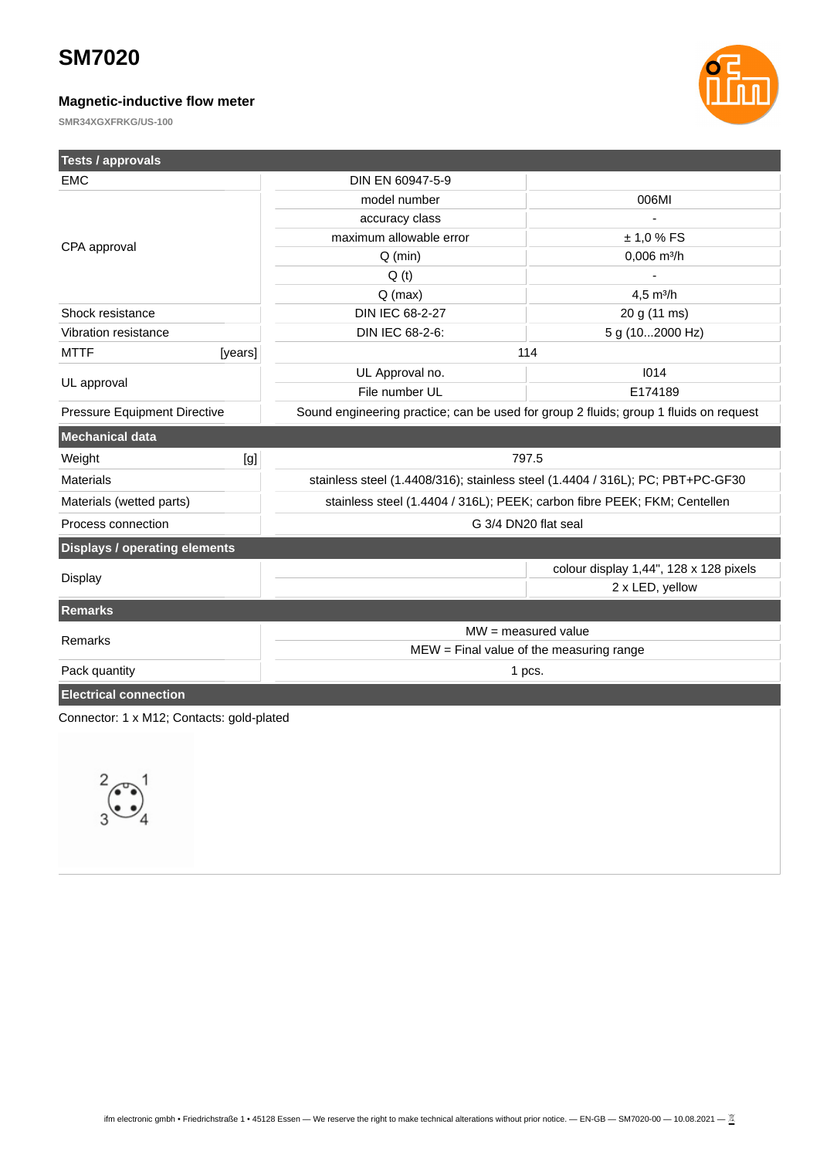### **Magnetic-inductive flow meter**



**SMR34XGXFRKG/US-100**

| DIN EN 60947-5-9                                                                      |                                                                                |  |
|---------------------------------------------------------------------------------------|--------------------------------------------------------------------------------|--|
| model number                                                                          | 006MI                                                                          |  |
| accuracy class                                                                        |                                                                                |  |
| maximum allowable error<br>± 1.0 % FS                                                 |                                                                                |  |
| $Q$ (min)                                                                             | 0,006 m <sup>3</sup> /h                                                        |  |
| Q(t)                                                                                  |                                                                                |  |
| $Q$ (max)                                                                             | $4.5 \text{ m}^3/h$                                                            |  |
| <b>DIN IEC 68-2-27</b>                                                                | 20 g (11 ms)                                                                   |  |
| DIN IEC 68-2-6:                                                                       | 5 g (102000 Hz)                                                                |  |
| 114                                                                                   |                                                                                |  |
| UL Approval no.                                                                       | 1014                                                                           |  |
| File number UL                                                                        | E174189                                                                        |  |
| Sound engineering practice; can be used for group 2 fluids; group 1 fluids on request |                                                                                |  |
|                                                                                       |                                                                                |  |
| 797.5                                                                                 |                                                                                |  |
|                                                                                       |                                                                                |  |
|                                                                                       | stainless steel (1.4408/316); stainless steel (1.4404 / 316L); PC; PBT+PC-GF30 |  |
|                                                                                       | stainless steel (1.4404 / 316L); PEEK; carbon fibre PEEK; FKM; Centellen       |  |
|                                                                                       | G 3/4 DN20 flat seal                                                           |  |
|                                                                                       |                                                                                |  |
|                                                                                       | colour display 1,44", 128 x 128 pixels                                         |  |
|                                                                                       | 2 x LED, yellow                                                                |  |
|                                                                                       |                                                                                |  |
|                                                                                       | $MW = measured value$                                                          |  |
|                                                                                       | $MEW = Find$ value of the measuring range                                      |  |
|                                                                                       | 1 pcs.                                                                         |  |
|                                                                                       |                                                                                |  |

Connector: 1 x M12; Contacts: gold-plated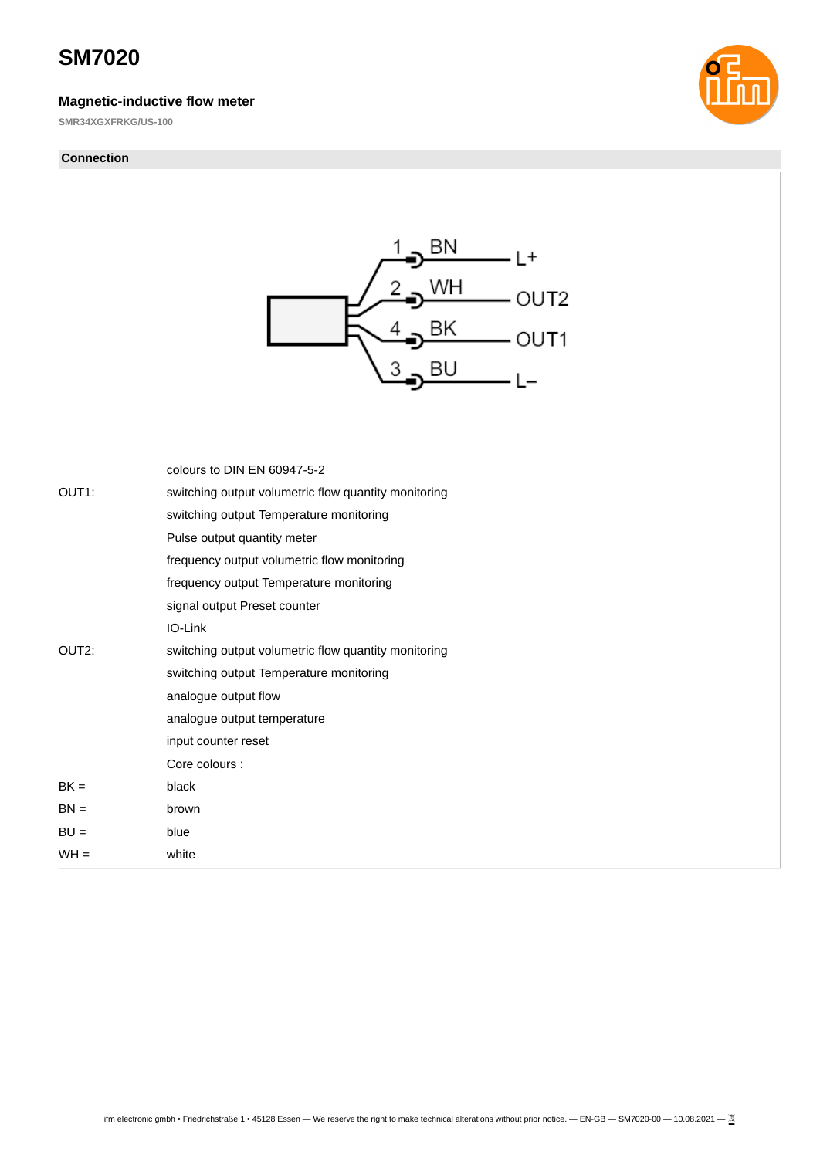#### **Magnetic-inductive flow meter**

**SMR34XGXFRKG/US-100**

#### **Connection**





|                    | colours to DIN EN 60947-5-2                          |
|--------------------|------------------------------------------------------|
| OUT <sub>1</sub> : | switching output volumetric flow quantity monitoring |
|                    | switching output Temperature monitoring              |
|                    | Pulse output quantity meter                          |
|                    | frequency output volumetric flow monitoring          |
|                    | frequency output Temperature monitoring              |
|                    | signal output Preset counter                         |
|                    | IO-Link                                              |
| OUT <sub>2</sub> : | switching output volumetric flow quantity monitoring |
|                    | switching output Temperature monitoring              |
|                    | analogue output flow                                 |
|                    | analogue output temperature                          |
|                    | input counter reset                                  |
|                    | Core colours :                                       |
| $BK =$             | black                                                |
| $BN =$             | brown                                                |
| $BU =$             | blue                                                 |
| $WH =$             | white                                                |
|                    |                                                      |